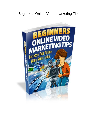# Beginners Online Video marketing Tips

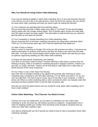# **Why You Should be Using Online Video Marketing**

If you are just starting to dabble in online video marketing, this is a very wise business decision. If you still are not sure if this is the right decision, check out these five reasons why you should be using online video marketing and what you stand to gain by making this decision.

#### #1 Your customers are spending their time watching videos

Did you know that more than 4 billion views occur daily on YouTube? It's the second largest search engine with only Google ranking higher. 55% of people watch at least one video daily and 78% watch at least one video weekly. That information in itself should have you stoked to get that video up and enjoy the benefits.

#2 Your Competition is Already Benefiting from Online Marketing Video Did you know that 81% of all senior marketing executives are using online marketing video? That's up 11% from just two years ago. Don't miss the opportunity that awaits you.

#### #3 Video is Easy to Search

When it comes to searching on Google 70% of the top 100 searches are videos. Consumers are seeking information on products and services and they are ready to buy when they find what they want. YouTube is the second largest search engine and so videos rank well and you have an optimum opportunity awaiting you with online video marketing.

#### #4 Videos are Educational, Entertaining, and Inspiring

Over 60% of consumers spend at least 2 minutes watching a video about a product they are thinking of buying. Video is excellent for marketing because it engages emotions. Viewers can get mad, cry, laugh, and learn. Viewers are far less likely to walk away from a video than an article because of the visual component.

## #5 Your Visitor is Just a Click Away From Buying

More than 34% of shoppers looking to buy apparel will purchase after watching an online marketing video compared to only 16% after watching a TV ad. When you watch a TV ad, you can't buy right then. You have to go to a store, log on to the site on your computer, or make a phone call. When an online marketing video is done correctly the visitor can instantly make their purchase and that's powerful which is why the high conversion rate.

Now that you have five good reasons why you should be using online video marketing, isn't it time to start creating?

## **Online Video Marketing - The 5 Secrets You Need to Know**

Chances are if you are reading this, you are about to undertake your own online video marketing or at the very least you still classify yourself as a beginner. Congratulations are in order for stepping outside your comfort zone and being smart enough to recognize that you could use a little help in getting it right.

Let's start by sharing with you the 5 secrets you need to know to have a successful online video marketing campaign.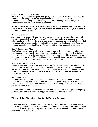## Step #1 Do the Necessary Research

We all like to go from point A to point B as quickly as we can, and in the rush to get our online video completed many fail to do the proper amount of research. The end result is disappointment. By taking some time initially to do your research you'll save time, avoid disappointment and achieve 'success' much faster.

Ironically, never before in the history of mankind has information been so readily available. Just a few clicks of the mouse and you can have all the information you need, and yet over anxious beginners skip this key step.

#### Step #2 Take the Time to Plan

A smart person once said, "Those who fail to plan, plan to fail." Is that you? This is especially true with video marketing. Don't believe me? Just take five minutes to check out a few of the videos available and it won't take long for you to find confusing, mixed up, disjointed videos that completely fail to engage you. Sadly, it's the biggest mistake that beginners make. Take your time and created a streamlined flow of information that the viewer can easily understand.

#### Step #3 Execute Your Plan

Here's where you succeed or fail – it's where your viewers will see just how much effort you put into research and planning. However, that said, even when you do your research and planning properly if you do not have the necessary equipment, resources, and skills to create an online marketing video you can still fail here. Make sure that your ability and your ambition match. Start small for your first video, grow your skills and you'll enjoy success.

#### Step #4 How Can You Improve

This is the step that separates 'the men from the boys' – it's what separates the amateurs from the professionals. If you put together one or two marketing videos and they get disappointing results, so you quit, you were never in it to win it! But if you learn from your mistakes, find out how you can improve, before long you're a real pro and before long, you'll be reaping the benefits of your efforts.

## Step #5 Ask the Experts

One of the best-kept secrets by those who are highly successful with their online video marketing is that they aren't afraid to seek help from the experts. They don't try to go it alone! There are all kinds of free and low cost help out there so why set yourself up for failure because you are too proud to take the help.

If you are new to online video marketing and you implement these 5 secrets, you'll be enjoying success before you know it and growing your business at an impressive rate.

## **What an Online Marketing Video Can do For Your Business**

Online video marketing has become the latest epidemic when it comes to marketing tools. In fact, it has gone viral. If you haven't given online marketing videos a try yet, you should, as there are plenty of benefits you can enjoy and increased sales are one of them. Let's look at what your video should accomplish for you.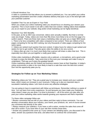#### It Should Introduce You

A video is a powerful tool that allows you to present a polished you. You can polish your online marketing presentation and then create a flawless delivery that puts in you in the best light with your potential customer.

#### Establish That You are an Expert in Your Field

When you create your online marketing video you should focus on showing your viewers your expertise. This is much easier to do with a video than text content. Adding videos that establish you as an expert to your website, blog and/or email marketing can be highly beneficial.

#### Maximize Your SEO Benefits

In the past, as far as SEO was concerned, videos were actually a liability. But that is not that case any longer. Today, videos are more than fifty times more likely to be on the first page of a surfer's search. There are three main ways a marketing video can give you a major SEO boost. 1. There is far less competition with video compared to text content. There are millions of text pages competing for the top SEO ranking, but only thousands of video pages competing for the same space.

2. Videos are ranked much quicker than text content. It takes hours for videos to get ranked and weeks for text to get ranked. That also gives video the ability to be very current.

3. Videos often go viral. It is much more likely that a person will share a video than text. This is especially true when you put together a really good video.

Online video marketing is affordable, requires only a webcam, a microphone, and a good script to begin to enjoy the benefits. Take some time to fine tune your message and make it easy to understand. That way you'll enjoy the greatest benefit.

Online marketing videos are the hottest tool business owners have at their fingertips. In today's online environment a video is far more likely to lead to a sale than even the best text content. Don't let this opportunity pass you by.

## **Strategies for Follow up on Your Marketing Videos**

Marketing videos are 'hot.' They are a great way to increase your viewers and your customer base, which means an increase in your revenues. Follow up is also an important step in successful marketing videos. Let's look at some very effective strategies.

You are going to have to experiment with follow up techniques. Remember nothing is a waste of time. You can learn from every experience. So just because you have made your marketing video doesn't mean you are done. It is time to promote it – all of the action you take after you post your online marketing video works towards growing your exposure and that's important.

Try these video campaign follow ups:

\* Monitor comments that are left on your videos and then reply to those comments. You can develop conversation about your industry, your brand, your products, etc. and of course answer any comments tied directly to the video.

\* Always measure your statistics. If you have a call to action, monitor the sales that come off that call to action. If you have links to your site then monitor those links.

\* Answer any questions that come up. If your viewers are debating topics, you discussed in the video, answer any questions that arise, and allow them to continue the conversation.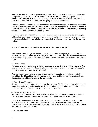Podcasts for your videos are a good follow up. Don't make the mistake that it's done once you post your video to YouTube. Create podcasts, which will help to follow up on your YouTube videos. It will allow you to expand your visibility to millions of possible viewers. You will need to have web host for your video files if you are going to create a podcast feed.

You can also make use of YouTube annotations. These will direct traffic to additional videos you have or to a call to action. This is a great follow up that can be of great value. It is also beneficial if your information in the video has become out of date and you can add an annotation directing viewers to the new video that has been updated.

The follow up is very important in your online marketing video is very important to enjoying the full benefit of your video campaigns. It is a common mistake of beginners not to follow through and incorporate the follow up with their online marketing video campaign. Don't let this be your mistake!

## **How to Create Your Online Marketing Video for Less Than \$100**

It's a bit of a catch 22 – your business needs a video to start selling but you need to sell to afford to have a video done, which is why you'll want to read on. There are plenty of options and you can actually get your online marketing video going for less than \$100 with this step-by-step guide.

## #1 Write a Script

The basis for a good video begins with the script, so take your time and get this part right. You want to capture the viewer's attention, tell what your business is about in a way that's easy to understand, and keep your visitors engaged.

You might do a video that shows your viewers how to do something or explains how to fix something. Don't forget to close with your company name and invite your viewers to call you, sign up, buy something or whatever the next step is.

## #2 Record Your Voiceover

Once your script is complete, you need to do the voiceover. You'll need a decent microphone, a space that's echo-free, and a good voice. If you don't have a good voice recruit family or friends to help you out here. You can also hire a pro to do the voiceover.

#### #3 Create the Necessary Visuals

Before you start to create your visual assets, you'll need to complete your video. It's helpful to brainstorm and create a written storyboard with your script to see how it best plays out.

If your video is not going to be live, there are a number of ways of getting still video footage. Sites like Getty or iStockPhoto have thousand of images that are royalty free. If you have your own camera, you can take your own images. If you are giving directions or doing 'how to' videos you can also use screen capture.

#### #4 Editing your Video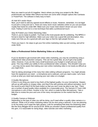Now you need to put all of it together. Here's where you bring your project to life. Most professionals use Adobe After Effects but there are some other cheaper options like Camtasia or PowerPoint. The software is fairly easy to learn.

#### #5 Add SFX and/or Music

Next, you'll want to add any special sound effects or music. However, remember, it is not legal to just pick a song and use it. There are many stock music websites online so you can purchase royalty free tracks for under \$50. Make sure your music track doesn't drown out your voice track. Fading In and Out is a nice technique that adds a professional touch.

## Step #6 Publish your Online Marketing Video

That's it, you're ready to publish. YouTube is the most popular site for publishing. The MPEG-4 format is ideal for high definition. Make sure your video has a good title and description. Also, make sure that you do a good job with your tags so that the right people find you.

There you have it. Six steps to get your first online marketing video up and running, and all for under \$100.

## **Make a Professional Online Marketing Video on a Budget**

If you've decided to get involved with online video marketing, you may be considering using a professional video production company. This can be a great idea, as you'll get a top quality video. However, if you are like many small businesses your budget is small and your need great. This may inhibit your ability to hire a professional video company. This shouldn't stop you – you may not be aware that making your own online marketing video is not nearly as difficult as you might think.

Start by taking advantage of the many free video editing software programs. You might already have the equipment you need – a microphone and a webcam, and you need a plan. Let's have a look at what you need start producing your own video on a budget.

## A Quality Microphone

If there is one thing you need to buy that's of the highest quality, it is your microphone. Viewers will put up with grainy or choppy video, and they'll live with pictures and without animation, but if the sound is poor they'll hit the back button so fast you won't even be able to say 'bye.' There are a number of good quality mikes available for a reasonable price. The Samson G Track USB microphone is one of them. Another is the Yeti, which is made by Blue Microphones. Take a little time to review the pros and cons of the many microphones on the market that fits your budget.

## A Quality Camera or Webcam

Depending on the type of video you will be doing, you'll need either a quality video camera or a webcam. While a lot of online marketing videos can be shot using a webcam, if you are planning to do live action you'll need the right camera. Look for something that does live streaming video like the Sony Bloggie HD for around \$129. While you shouldn't expect professional quality from this gem, it is reasonable for doing blogs, video tutorials and video marketing.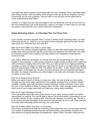You might also want to capture screen shots right from your computer. This is especially useful when doing tutorials. There are plenty of free programs that can do this for Snipping Tool and Screencasts are two such programs. They are easy to use and give you the opportunity to create professional looking videos.

If money is no object and you have the budget to hire a professional, then do so, but if you are like most entrepreneurs with small businesses, money is an object. In which case you can take the project on yourself with only a small investment in equipment.

# **Online Marketing Videos – 4 of the Best Tips You'll Ever Find**

If you consider yourself a beginner when it comes to making online marketing videos, we have some great tips for you. After all, your real goal is to be successful right from the start. So let's have a look at 4 of the best tips you'll ever find.

## Best Tip #1 Don't Make Your Video a Lonely Video

One of the most common mistakes beginners make is to sink their entire budget into one high quality video and hope that they get the success they are hoping for from that video. The vision is to instantly create brand recognition and step ahead of the competition increasing their revenue ten-fold.

Let's rewind. While this can happen, it's not the norm and you are gambling your entire video budget on one production. A wiser choice would be to create a series of videos. Don't make one video and leave it hanging there all by itself. View your video as part of an ongoing marketing campaign, so when you begin to create your video think of a dozen or so topics that tie together that you could produce a video for each. The videos can be short – in fact, viewers have a short attention span, so the faster you can get to the point and give them the important information the better. So instead of investing your entire budget in one video why not break it into at least six videos or even more.

## Best Tip #2 Reduce Reuse Recycle

Before you spend a bunch of money to create your video, first look at what you have handy. Perhaps you have some sales material from your supplier, perhaps there is industry material available, consider using staff interviews or guest interviews, include customers in your video, do a tour of your facilities or office, try doing a 'day in the life,' video. Just get creative and use what's around you to keep costs down and make your videos really interesting.

## Best Tip #3 Take Advantage of Events

This is yet another way to get some great content for your video. Events provide some great opportunities for material. You may be able to capture live product demos, presentations you do or another member of your company does, interview with speakers and visitors, etc. The key is to be creative and take advantage of the resources that are there for you to use. That's how you can really make interesting videos and keep your costs down.

## Best Tip #4 Make Videos That Work on All Devices

The number of professionals that are accessing content while they are on the go keeps growing. The number of individuals professional and non-professionals, your potential customers are busy and they are taking advantage of smartphones, tablets, iPads, and other mobile devices.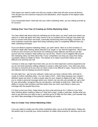That means you need to make sure that you create a video that will work across all devices. This will give you the maximum exposure and distribution, which equates to the highest sales opportunities.

If you incorporate these 4 best tips into your online marketing video, you are setting yourself up for success.

# **Getting Over Your Fear of Creating an Online Marketing Video**

You hear others talk about inbound marketing but at this point, you aren't quite sure where you stand on it. Most will agree that video seems to be an excellent tool to help get new leads and then to connect with those new leads, eventually transforming them into happy customers. But most marketers would also agree that doing marketing video is completely different than any other marketing technique.

If you are afraid to explore marketing videos, you aren't alone. Most of us find ourselves so scared to death after hearing others describe it as 'tough' or 'too hard for beginners.' We're here to tell you and convince you that those are nothing but mere fallacies and that you just like anyone who has created a video before you can do this. There's a lot of negative talk around the marketing video, but think about this; if your competition can keep you away from doing, successful videos it's better for them. The solution is to make it sound like videos are very difficult to do and they are not!

Contrary to what you might have been told, you do not need expensive camera equipment and you do not need expensive editing software to create a video that works. Your video also does not have to consume all of your time nor does it have to be difficult to make. Those are all myths and fallacies that are floating around the internet.

So start right now – get out your webcam, make sure you have a decent mike, and start to create an online marketing video. You can make it short – that's okay because your viewer's attention spans are short. A video is super easy for your viewers to digest and 'get.' It allows you to create a personal message where your visitors can see who you actually are, get a feel for your personality, recognize that you are genuine, and begin to build trust. Video has the ability to connect with emotions and that means they are much more likely to share your message with the people they know.

It is time to lose your fears, forget what you have read and just go for it. What is it you have been thinking about creating a video on? Start with a topic, create a solid plan, decide what you want to say and how you want to say it, and then go for it! After the first video, you'll wonder why you didn't take advantage of this powerful marketing tool earlier.

# **How to Create Your Online Marketing Video**

If you are ready to create your first online marketing video, you're at the right place. Videos are the perfect way to promote your online business no matter what products or services you're are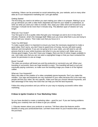marketing. Videos can be promoted on social networking site, your website, and on many other sites as it is an inexpensive marketing tool. Let's get started.

## Getting Started

The first thing you need to do before you start making your video is to prepare. Making it up as you go will leave you with a video that's disjointed and hard for your reader to understand, so write out what you want your video to include. Also, keep your video short and focused on your message. It should not be more than 5 minutes long. The attention span of viewers isn't any longer.

#### What are Your Goals?

Your first goal is to do a quality video that gets your message out and to do it in less than 5 minutes. However, what's the message itself. Make sure you know what that is you are trying to tell and sell your viewers. Then make sure that you focus on it.

#### Tools You Will Need

To make a good video it is important to ensure you have the necessary equipment to make a good video. Don't worry, you don't have to spend tons of money, but you will need a good webcam and microphone. If you are not going to be in your video, you will need to use still pictures that tie to your online business and what it is you are trying to sell. Make sure you choose good images. If you don't have your images, there are lots of online images available to use. Just make sure that you are not used a copyrighted image or that you have contacted the owner for permission to use an image.

## Brand Yourself

The video you produce will brand you and the product(s) or service(s) you sell. When your branding is successful, there are huge benefits to enjoy. This branding will lead to trust and eventually paying customers, so make sure the branding image you create is of the highest caliber.

#### What are Your Keywords?

Many who take on the creation of a video completely ignore keywords. Don't you make this mistake. Your tags and keywords are very important to your video because this is the main way people will find your video. Be very specific, make sure that you choose relevant keywords, and take advantage of the many free tools that can help you find the best keywords.

Follow this setup procedure and you will be on your way to enjoying successful online video marketing.

## **8 Ideas to Ignite Creative in Your Marketing Video**

So you have decided to create a marketing video – good for you! If you are having problems igniting your creativity here are 8 ideas to get you started.

1. Educate viewers about your products or services. Tell them about the features and/or benefits of using your products/services. Let them know what it is you'll receive when you make the purchase.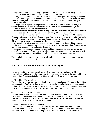2. Do product reviews. Take one of your products or services that would interest your market and do an in-depth review of its features, benefits, pros, and cons.

3. Grow your potential customer list. Create a video that encourages prospects to give you their name and email by giving them something such as a report, an e-book, a newsletter, a tutorial video, a webinar, etc. Determine what it is your prospects would find useful and design a giveaway around it.

4. Telling a story is a great way to get people to relate to you. Weave in lessons that your viewers can take away from it. You can talk about a past event that shaped who you've become, or how you run your business today.

5. Debunking myths in your industry and offering real examples to show why they are myths is a popular video topic. You will educate your viewers and put them on the road to facts.

6. Take your viewers out of the office in to your natural surroundings and behind the scenes. You could introduce your family if its appropriate. You can show your viewers what's meaningful to you. You could tie in some business secrets such as how to setup a business, etc. Take a little time to determine what is best behind the scenes to share.

7. Ask questions and then provide the answers. You could ask your viewers if they have any questions and then you could include them with the answers in your next video. These are great ways to start a conversation and start a discussion.

8. Discuss different case studies and the results of these case studies. You can show a case study of a customer who followed your directions, used your product, or used your service and the outcome. You could also read testimonials from some of your happy customers.

These eight ideas are a great way to get creative with your marketing videos, so why not get busy and start to reap the benefits.

# **5 Tips to Get You Started Making an Online Marketing Video**

If this is the first time creating an online marketing video, you might be feeling a little overwhelmed. Not to worry, before you know it, you will be a regular pro and creating all kinds of great movies. To get you started we want to share with you 5 tips to get you started.

## #1 Give Video a Try Right Now

The best tip anyone can give you is to simply give video a try right now. The idea of doing video can be daunting. Don't worry, there's no need for you to have professional equipment, expert editing skills, fancy scripts, or special software. You don't have to be super confident either. Just make a video of something relevant to your business. That's a great place to start.

## #2 Use Google Search for Your Story Line

If you are not ready to be the person on your video and you want to get your first video out there, why not use Google search results to pull up relevant results. If you want to be really creative, you can use Google blogs, maps, news, images, etc. It's a great way to provide the visual for your video when you are first starting out.

## #3 Have a Cheerleader for Your Company

You need someone that will'rah rah' your company, who will? Even when you have sales or marketing professionals on your team, they aren't always the best candidate to represent your company. Think for a minute about all of your staff. Who is the one who bring a smile to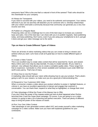everyone's face? Who is the one that's a natural in front of the camera? That's who should be the cheerleader for your company.

#### #4 Always be Transparent

If you want to succeed with your videos, you need to be authentic and transparent. Your visitors will know if you are not and they will abandon you for someone who is. Develop relationships with your visitors and build a community because that community can generate you a very nice income over time.

#### #5 Publish on a Regular Basis

Producing video can be a challenge but it is one of the best ways to increase you customer base and sales. One of the best tips I can share with you is to publish regularly. Start publishing today, and keep publishing. Don't worry, even if you are using your smartphone to do it, just get it done and get your video message out to the world.

## **Tips on How to Create Different Types of Videos**

There are all kinds of online marketing videos that you can create to bring in viewers and achieve what you want. Let's have a look at 6 great tips on how to create different types of videos.

#### #1 Create a Video Tutorial

This is an excellent way to create video content that will be searched for, found, and viewed. Many online users love step-by-step tutorials. It's easy to create tutorials. All you need is a webcam. Use software that allows you to create a complete quality video. These range from free to expensive. Camstudio is a free version available and Camtasia is just under \$300 but worth every penny. That's two of many.

#### #2 Show How to Use the Product

A marketing video should sell your vision while showing how to use your product. That's what's going to sell it to your viewers, so make sure you do a good job of demonstrating this.

#### #3 Respond to Your Customers With Video

When a consumer creates a video about your product whether to praise it, highlight features, or criticize it, you have an excellent opportunity to interact and engage that customer in conversation. You can thank them, expand on what they've highlighted, or change their mind.

#### #3 Take Advantage of What the Power of the Masses has to Offer

If you don't think the power of the masses exists just look at what happened when Doritos launched their Crash the Super Bowl campaign. Of course, if you are going to run a video contest it is going to take a lot of planning and perfect execution. There are plenty of different ways to bring the power of the masses on board.

#### #4 Run Your Own Video Contest

Take advantage of user generated content called UGC and create yourself a video marketing campaign for a video contest. Make sure you have well explained guidelines for your contestants.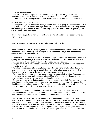#### #5 Create a Video Series

A single video is fine but if you create a video series then you are going to bring back a lot of your viewers who want to see the next video in the series. Plan each video to connect to the previous video. This is going to translate into more views, more likes, and more sales for you.

#### #6 Grow Your Email List Using Videos

To keep growing your business and keep your sales momentum going you need to build a list of people you can regularly contact through email. You can grow our email list by creating videos that encourage your viewers to get their free gift (report, newsletter, e-book) by providing you with their name and email address.

Great – now that you have 6 great tips on how to create different types of videos why not put them to work.

## **Basic Keyword Strategies for Your Online Marketing Video**

When it comes to keyword strategies, there is all kinds of information available online. But let's look at some of the basic keyword strategies you'll want to use with your online marketing videos to get the most out of them.

\* Use the text pages on your website as a map for Google. This will assist the search engines in figuring out what each of your videos is about. You should embed your videos into your text pages on your website that are relevant to the videos you have posted.

\* To optimize your YouTube videos, you need to make certain to keywords in your video tags, descriptions and titles.

\* You should target specific keyword phrases not just words. For example, rather than using 'cakes' as your keyword for your organic bakery, use 'cake with organic icing' for a higher chance of you showing up on the top of the search engine results.

\* Think carefully about what keywords would be best for your marketing video. Take advantage of the numerous keyword tools that are available. Many of them are free. Choosing good keywords is very important to your search engine placement.

\* Consider using keywords that are not as popular or that are misspelled. This can help increase your placement in the search engines and move you up the search engines. Of course, these should not be some obscure word that's only looked up once in awhile, as this will not be of any benefit. However, words like centre and center both are commonly looked up

Many online marketing video beginners overlook the importance of keywords not fully understanding that their title, short description, and tags are what are going to place them in the search engines and what are going to helps potential viewers find their video.

They become so focused on creating a good video they forget about the importance of keywords. Then they become frustrated and disappointed when they do not get the results they were hoping for. Don't let this be you. We've given you some basics on keywords. Many of you will have used keywords in your SEO work in articles and website content so you will be familiar with their role and their purpose. If you are completely new to keywords, this gives you a good start and there is plenty of information available online so you can learn more about keywords.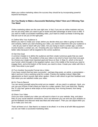Make your online marketing videos the success they should be by incorporating powerful keyword techniques.

## **Are You Ready to Make a Successful Marketing Video? Here are 5 Winning Tips You Need**

Online marketing videos are the rave right now. In fact, if you are an online marketer and you are not yet using video you need to get on board and take advantage of what it has to offer. If you want to make a successful marketing video, you'll want to check out these 5 winning tips that are sure to set you on the right path.

## #1 Define Who Your Audience Is

Before you start to create your script, before you decide what your video is going to look like, and certainly, before you start shooting your video, you need to determine who your audience is – who do you want to reach with your video. Are you trying to reach a certain age, a certain income bracket, a certain sex, etc. Knowing who your market is will help you to create a much better video because it will be targeted to the correct audience.

#### #2 Set One Goal

A common mistake is to define the audience and then create numerous goals that you want your video to achieve. The problem is that your video is too short to have more than one goal. So choose your single most important goal and focus on that. In Step #1, which is the top of your funnel, which brought in the targeted market, now in the middle of the funnel you need to engage them, and at the bottom of the funnel, you need to close. Create your video with this in mind. Now what is your goal?

## #3 Turn Another Successful Format Into a Video

If you have content that has been successful – perhaps blog posts, an article, a presentation – take it and turn it into a working script for a video. Practice by reading it aloud. Make little adjustments so that it sounds right when spoken. Share it with others to get their feedback and then when you are satisfied create your video.

## #4 It's Time to Record

You can record yourself using the script you've created – all you need is a webcam. Heck, you can use your iPhone if that's what you have for a video camera. Don't over think this. Playing the "if I only had" game is what stops us from producing, from moving forward, from being successful.

#### #5 Share Your Video

Once you have created your video you will want to share it on your website, blog, and place links on your social network connections. Get it out wherever you can and use your analytics to get the feedback and discover what was liked and what wasn't. Then you can adjust when you go to make your next one.

That's all there is to it. See there's no reason to be afraid. In no time at all with little equipment you too can make a successful marketing video.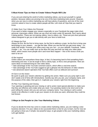# **5 Must Know Tips on How to Create Videos People Will Like**

If you are just entering the world of online marketing videos, you've put yourself in a great position, because videos are proving to be one of the best marketing tools around. However, when you are new to online marketing you will have plenty of questions, and one of the most common asked is how to create videos people will like. Let's look at 5 tips that you need to know.

## #1 Make Sure Your Videos Are Personal

If you want to better engage your viewers especially on your Facebook fan page make short, personal, impromptu videos. When we say short we mean under 90 seconds. Don't worry about it being perfect. These are not training videos, how to videos, etc. These are just short personal videos designed to get you to talk directly with your fans to build trust.

## #2 Always be First

Always be first. Be the first to bring news, be the first to address a topic, be the first to bring new technology to your viewers… you get the idea. When you are the first you get more views – it's really that simple. Promote your video every way you can – on your website, Facebook, Twitter, Google +, etc. You can really rack up the likes this way and that can help your video place better, which means more people see it and more likes happen – this is the vicious circle you want to be on!

## #3 Be Inspired

Online videos are everywhere these days. In fact, it's becoming hard to find something that's interesting and new. It can be tough to find a catchy topic, to find a new perspective. Here are some ideas on brainstorming for new video ideas.

\* Take advantage of the YouTube comment search, which offers a real time search.

\* Take advantage of the YouTube suggest to get a glimpse into the behavior of video viewers

\* Use advanced search operators that YouTube offers such as wildcard and synonym

## #4 Get in on the Action

Be quick to grab your viewers attention by getting into action. Make sure you jump right in and don't waste a lot of time with introductions. Quickly say who you are, your company name, and the purpose of the video; then get to it. Captivate your viewers right from the beginning.

## #5 Plan Your Opening and Closing

Your opening or greeting and your closing or call to action need special attention to make sure that they are effective and create what you need. Your greeting needs to be short and to the point telling the viewer who you are and your company name. Your closing or call to action needs to be effective in order to get your viewers to do what you want, otherwise they could be lost forever.

# **3 Ways to Get People to Like Your Marketing Videos**

If you've decide the time has come to create online marketing videos, you are making a wise business decision. For your videos to be successful there is lots for you to learn, but for now we are going to show you 3 simple, but powerful ways, to get people to like your marketing videos. Let's get started.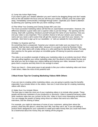## #1 Jump Into Action Right Away

If you want to grab your viewers attention you won't want to be dragging things and don't waste time as this will weaken the focus and you will lose your visitors. Instead, jump into action right away. Immediately communicate a message through action. Captivate your viewer's attention by planning your opening scene like you were creating a movie.

## #2 Plan What Your Greeting and Closing Scripts Will Look Like

The most successful marketing videos will feel like an unprompted conversation. However, the difference between a good video and a superior video is just two things – the opening and the closing. Start with a greeting, introduce yourself and give the name of your business. How you end your video is very important. This is another chance to tell your viewers your business name and you need a call to action that will get the reaction you want from your viewers. For example, 'click here to sign up for our newsletter,' or 'visit our website for more information.'

## #3 Make it a Surprise and Fun

Do something that is unexpected. Surprise your viewers and make sure you keep it fun. An example, that has been used quite often, because it is so good, is done by Rockstar Video Game. Their video starts with a baby sitting on a sofa watching his dad play Rockstar. The baby then reaches for the guitar and plays an incredible guitar riff leaving his parents amazed and shocked.

This video is an excellent example of taking your marketing video to an entirely new level. When you are putting together your online marketing video don't be afraid to think outside the box and see what you can do to keep your visitors talking and sharing your video, because it's good, it gives them a surprise and they think it's fun enough to share.

There you have it – three great ways to get people to like your online marketing video and share it with others. Make the most of this powerful tool!

# **3 Must Know Tips for Creating Marketing Videos With Others**

If you are new to creating online marketing videos, you are going to quickly reap the benefits especially if you include others in the videos. Here are 3 must know tips for creating marketing videos with others.

## #1 Make Sure You Include Others

The best way to make the most out of your marketing videos is to include other people. These people will become marketers of your product(s) or service(s). Video is powerful because unlike other mediums video lets you connect at the core. Video is much more interesting and effective. You can engage the powers of being using shout out videos that send out a little love, interviews, and the sharing of ideas.

For example, you might do interviews of some of your customers, asking them about the product, what they like about it, what they don't like, how they use it, etc. If you are selling a product that's designed for your customers to resell and make money then you could have them do a testimonial about the money they are making off the program.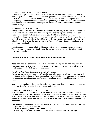#### #2 Collaboratively Create Compelling Content

Online marketing videos are an excellent way to create collaborative compelling content. Share your thoughts in a conversation format, or share your experiences with someone else. This will make it a lot more fun and more interesting for your viewers. In addition, everyone that is participating will share the content with others expanding your video's reach. This is one of the most popular video formats so why not give it a try and see how successful this type of video content is for you.

#### #3 Interview Experts at Trade Shows

Getting other industry experts in addition to yourself is a great way to increase your viewers. It allows you to create content based on your expertise and the expertise of another person. Trade shows happen in almost every area so you should be able to find one in your neighborhood if you are just patient. If you haven't got a trade show then think outside the box and look for an expert in a local store. Many times the expert you connect with will share the video link, which in turn will drive more traffic to Facebook, Twitter, Google +, YouTube, etc., and to your website also.

Make the most out of your marketing videos by posting them in as many places as possible. The more sites you place the video links on the more views and the more likely that you will grow your viewer base.

## **2 Powerful Ways to Make the Most of Your Video Marketing**

Video marketing is a powerful tool. In fact, it is one of the most powerful marketing tools around. If you are a beginner to online video marketing, you are going to want to read this to discover how to get the most out of your video marketing.

## Make Sure Your Audio Equipment is up for the Challenge

Making a great marketing video doesn't need to cost a lot, but the one thing you do want to do is buy decent audio equipment. If your camera has the audio built in then you need to make sure that you are no more than three feet from the microphone so that everything you say can be heard.

Always test and adjust until you find the optimum setting. Your viewers will forgive a lot of things but they will not forgive audio that they cannot understand.

## Optimize Your Video for the Best SEO Results

Make sure that your marketing video will be found by the search engines. It is not as easy for the search engines to crawl video as it is text so you will need to make sure you use a couple of keywords in your title and then use matching keywords in the title tag. You should also submit a video sitemap, which will create an index of videos that are on your site, making Google's job a little easier.

YouTube search algorithms are not the same as Google search algorithms. Here are five tips to help you get the most out of your SEO.

1. Create an engaging video title with SEO in mind

2. Make sure you use your keywords in the title, video description, and keyword tags